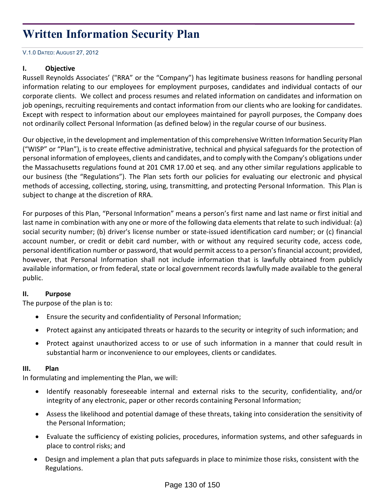# **Written Information Security Plan**

V.1.0 DATED: AUGUST 27, 2012

## **I. Objective**

Russell Reynolds Associates' ("RRA" or the "Company") has legitimate business reasons for handling personal information relating to our employees for employment purposes, candidates and individual contacts of our corporate clients. We collect and process resumes and related information on candidates and information on job openings, recruiting requirements and contact information from our clients who are looking for candidates. Except with respect to information about our employees maintained for payroll purposes, the Company does not ordinarily collect Personal Information (as defined below) in the regular course of our business.

Our objective, in the development and implementation of this comprehensive Written Information Security Plan ("WISP" or "Plan"), is to create effective administrative, technical and physical safeguards for the protection of personal information of employees, clients and candidates, and to comply with the Company's obligations under the Massachusetts regulations found at 201 CMR 17.00 et seq. and any other similar regulations applicable to our business (the "Regulations"). The Plan sets forth our policies for evaluating our electronic and physical methods of accessing, collecting, storing, using, transmitting, and protecting Personal Information. This Plan is subject to change at the discretion of RRA.

For purposes of this Plan, "Personal Information" means a person's first name and last name or first initial and last name in combination with any one or more of the following data elements that relate to such individual: (a) social security number; (b) driver's license number or state-issued identification card number; or (c) financial account number, or credit or debit card number, with or without any required security code, access code, personal identification number or password, that would permit access to a person's financial account; provided, however, that Personal Information shall not include information that is lawfully obtained from publicly available information, or from federal, state or local government records lawfully made available to the general public.

## **II. Purpose**

The purpose of the plan is to:

- Ensure the security and confidentiality of Personal Information;
- Protect against any anticipated threats or hazards to the security or integrity of such information; and
- Protect against unauthorized access to or use of such information in a manner that could result in substantial harm or inconvenience to our employees, clients or candidates.

## **III. Plan**

In formulating and implementing the Plan, we will:

- Identify reasonably foreseeable internal and external risks to the security, confidentiality, and/or integrity of any electronic, paper or other records containing Personal Information;
- Assess the likelihood and potential damage of these threats, taking into consideration the sensitivity of the Personal Information;
- Evaluate the sufficiency of existing policies, procedures, information systems, and other safeguards in place to control risks; and
- Design and implement a plan that puts safeguards in place to minimize those risks, consistent with the Regulations.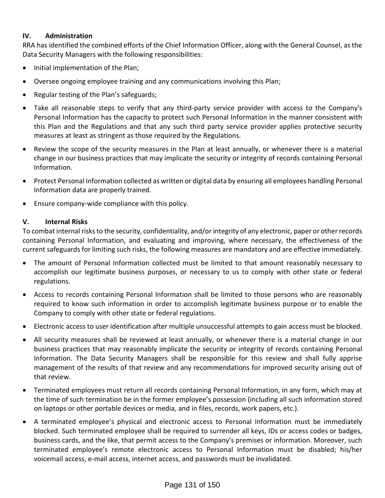# **IV. Administration**

RRA has identified the combined efforts of the Chief Information Officer, along with the General Counsel, as the Data Security Managers with the following responsibilities:

- Initial implementation of the Plan;
- Oversee ongoing employee training and any communications involving this Plan;
- Regular testing of the Plan's safeguards;
- Take all reasonable steps to verify that any third-party service provider with access to the Company's Personal Information has the capacity to protect such Personal Information in the manner consistent with this Plan and the Regulations and that any such third party service provider applies protective security measures at least as stringent as those required by the Regulations.
- Review the scope of the security measures in the Plan at least annually, or whenever there is a material change in our business practices that may implicate the security or integrity of records containing Personal Information.
- Protect Personal Information collected as written or digital data by ensuring all employees handling Personal Information data are properly trained.
- Ensure company-wide compliance with this policy.

# **V. Internal Risks**

To combat internal risks to the security, confidentiality, and/or integrity of any electronic, paper or other records containing Personal Information, and evaluating and improving, where necessary, the effectiveness of the current safeguards for limiting such risks, the following measures are mandatory and are effective immediately.

- The amount of Personal Information collected must be limited to that amount reasonably necessary to accomplish our legitimate business purposes, or necessary to us to comply with other state or federal regulations.
- Access to records containing Personal Information shall be limited to those persons who are reasonably required to know such information in order to accomplish legitimate business purpose or to enable the Company to comply with other state or federal regulations.
- Electronic access to user identification after multiple unsuccessful attempts to gain access must be blocked.
- All security measures shall be reviewed at least annually, or whenever there is a material change in our business practices that may reasonably implicate the security or integrity of records containing Personal Information. The Data Security Managers shall be responsible for this review and shall fully apprise management of the results of that review and any recommendations for improved security arising out of that review.
- Terminated employees must return all records containing Personal Information, in any form, which may at the time of such termination be in the former employee's possession (including all such information stored on laptops or other portable devices or media, and in files, records, work papers, etc.).
- A terminated employee's physical and electronic access to Personal Information must be immediately blocked. Such terminated employee shall be required to surrender all keys, IDs or access codes or badges, business cards, and the like, that permit access to the Company's premises or information. Moreover, such terminated employee's remote electronic access to Personal Information must be disabled; his/her voicemail access, e-mail access, internet access, and passwords must be invalidated.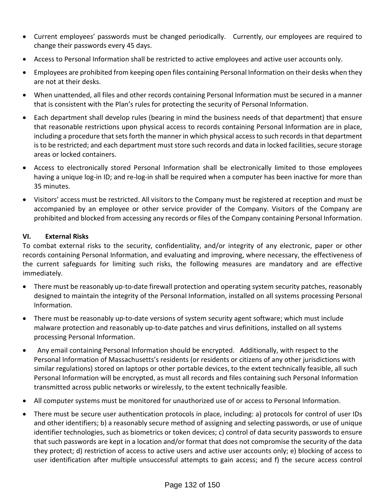- Current employees' passwords must be changed periodically. Currently, our employees are required to change their passwords every 45 days.
- Access to Personal Information shall be restricted to active employees and active user accounts only.
- Employees are prohibited from keeping open files containing Personal Information on their desks when they are not at their desks.
- When unattended, all files and other records containing Personal Information must be secured in a manner that is consistent with the Plan's rules for protecting the security of Personal Information.
- Each department shall develop rules (bearing in mind the business needs of that department) that ensure that reasonable restrictions upon physical access to records containing Personal Information are in place, including a procedure that sets forth the manner in which physical access to such records in that department is to be restricted; and each department must store such records and data in locked facilities, secure storage areas or locked containers.
- Access to electronically stored Personal Information shall be electronically limited to those employees having a unique log-in ID; and re-log-in shall be required when a computer has been inactive for more than 35 minutes.
- Visitors' access must be restricted. All visitors to the Company must be registered at reception and must be accompanied by an employee or other service provider of the Company. Visitors of the Company are prohibited and blocked from accessing any records or files of the Company containing Personal Information.

# **VI. External Risks**

To combat external risks to the security, confidentiality, and/or integrity of any electronic, paper or other records containing Personal Information, and evaluating and improving, where necessary, the effectiveness of the current safeguards for limiting such risks, the following measures are mandatory and are effective immediately.

- There must be reasonably up-to-date firewall protection and operating system security patches, reasonably designed to maintain the integrity of the Personal Information, installed on all systems processing Personal Information.
- There must be reasonably up-to-date versions of system security agent software; which must include malware protection and reasonably up-to-date patches and virus definitions, installed on all systems processing Personal Information.
- Any email containing Personal Information should be encrypted. Additionally, with respect to the Personal Information of Massachusetts's residents (or residents or citizens of any other jurisdictions with similar regulations) stored on laptops or other portable devices, to the extent technically feasible, all such Personal Information will be encrypted, as must all records and files containing such Personal Information transmitted across public networks or wirelessly, to the extent technically feasible.
- All computer systems must be monitored for unauthorized use of or access to Personal Information.
- There must be secure user authentication protocols in place, including: a) protocols for control of user IDs and other identifiers; b) a reasonably secure method of assigning and selecting passwords, or use of unique identifier technologies, such as biometrics or token devices; c) control of data security passwords to ensure that such passwords are kept in a location and/or format that does not compromise the security of the data they protect; d) restriction of access to active users and active user accounts only; e) blocking of access to user identification after multiple unsuccessful attempts to gain access; and f) the secure access control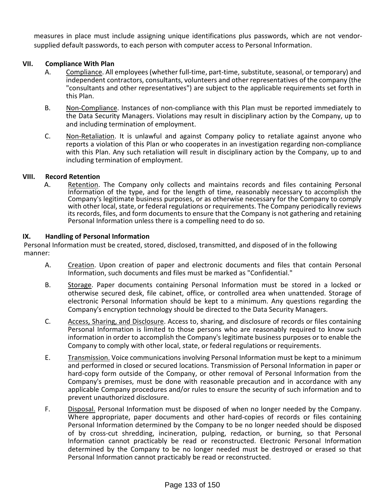measures in place must include assigning unique identifications plus passwords, which are not vendorsupplied default passwords, to each person with computer access to Personal Information.

## **VII. Compliance With Plan**

- A. Compliance. All employees (whether full-time, part-time, substitute, seasonal, or temporary) and independent contractors, consultants, volunteers and other representatives of the company (the "consultants and other representatives") are subject to the applicable requirements set forth in this Plan.
- B. Non-Compliance. Instances of non-compliance with this Plan must be reported immediately to the Data Security Managers. Violations may result in disciplinary action by the Company, up to and including termination of employment.
- C. Non-Retaliation. It is unlawful and against Company policy to retaliate against anyone who reports a violation of this Plan or who cooperates in an investigation regarding non-compliance with this Plan. Any such retaliation will result in disciplinary action by the Company, up to and including termination of employment.

## **VIII. Record Retention**

A. Retention. The Company only collects and maintains records and files containing Personal Information of the type, and for the length of time, reasonably necessary to accomplish the Company's legitimate business purposes, or as otherwise necessary for the Company to comply with other local, state, or federal regulations or requirements. The Company periodically reviews its records, files, and form documents to ensure that the Company is not gathering and retaining Personal Information unless there is a compelling need to do so.

#### **IX. Handling of Personal Information**

Personal Information must be created, stored, disclosed, transmitted, and disposed of in the following manner:

- A. Creation. Upon creation of paper and electronic documents and files that contain Personal Information, such documents and files must be marked as "Confidential."
- B. Storage. Paper documents containing Personal Information must be stored in a locked or otherwise secured desk, file cabinet, office, or controlled area when unattended. Storage of electronic Personal Information should be kept to a minimum. Any questions regarding the Company's encryption technology should be directed to the Data Security Managers.
- C. Access, Sharing, and Disclosure. Access to, sharing, and disclosure of records or files containing Personal Information is limited to those persons who are reasonably required to know such information in order to accomplish the Company's legitimate business purposes or to enable the Company to comply with other local, state, or federal regulations or requirements.
- E. Transmission. Voice communications involving Personal Information must be kept to a minimum and performed in closed or secured locations. Transmission of Personal Information in paper or hard-copy form outside of the Company, or other removal of Personal Information from the Company's premises, must be done with reasonable precaution and in accordance with any applicable Company procedures and/or rules to ensure the security of such information and to prevent unauthorized disclosure.
- F. Disposal. Personal Information must be disposed of when no longer needed by the Company. Where appropriate, paper documents and other hard-copies of records or files containing Personal Information determined by the Company to be no longer needed should be disposed of by cross-cut shredding, incineration, pulping, redaction, or burning, so that Personal Information cannot practicably be read or reconstructed. Electronic Personal Information determined by the Company to be no longer needed must be destroyed or erased so that Personal Information cannot practicably be read or reconstructed.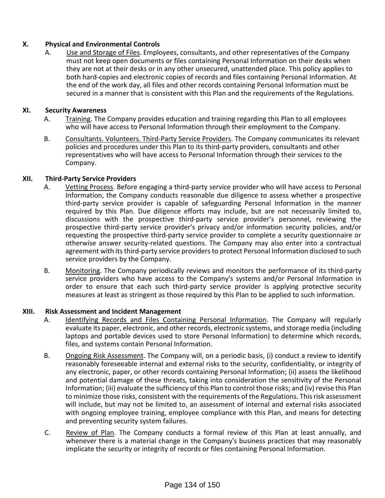## **X. Physical and Environmental Controls**

A. Use and Storage of Files. Employees, consultants, and other representatives of the Company must not keep open documents or files containing Personal Information on their desks when they are not at their desks or in any other unsecured, unattended place. This policy applies to both hard-copies and electronic copies of records and files containing Personal Information. At the end of the work day, all files and other records containing Personal Information must be secured in a manner that is consistent with this Plan and the requirements of the Regulations.

## **XI. Security Awareness**

- A. Training. The Company provides education and training regarding this Plan to all employees who will have access to Personal Information through their employment to the Company.
- B. Consultants. Volunteers. Third-Party Service Providers. The Company communicates its relevant policies and procedures under this Plan to its third-party providers, consultants and other representatives who will have access to Personal Information through their services to the Company.

## **XII. Third-Party Service Providers**

- A. Vetting Process. Before engaging a third-party service provider who will have access to Personal Information, the Company conducts reasonable due diligence to assess whether a prospective third-party service provider is capable of safeguarding Personal Information in the manner required by this Plan. Due diligence efforts may include, but are not necessarily limited to, discussions with the prospective third-party service provider's personnel, reviewing the prospective third-party service provider's privacy and/or information security policies, and/or requesting the prospective third-party service provider to complete a security questionnaire or otherwise answer security-related questions. The Company may also enter into a contractual agreement with its third-party service providers to protect Personal Information disclosed to such service providers by the Company.
- B. Monitoring. The Company periodically reviews and monitors the performance of its third-party service providers who have access to the Company's systems and/or Personal Information in order to ensure that each such third-party service provider is applying protective security measures at least as stringent as those required by this Plan to be applied to such information.

## **XIII. Risk Assessment and Incident Management**

- A. Identifying Records and Files Containing Personal Information. The Company will regularly evaluate its paper, electronic, and other records, electronic systems, and storage media (including laptops and portable devices used to store Personal Information) to determine which records, files, and systems contain Personal Information.
- B. Ongoing Risk Assessment. The Company will, on a periodic basis, (i) conduct a review to identify reasonably foreseeable internal and external risks to the security, confidentiality, or integrity of any electronic, paper, or other records containing Personal Information; (ii) assess the likelihood and potential damage of these threats, taking into consideration the sensitivity of the Personal Information; (iii) evaluate the sufficiency of this Plan to control those risks; and (iv) revise this Plan to minimize those risks, consistent with the requirements of the Regulations. This risk assessment will include, but may not be limited to, an assessment of internal and external risks associated with ongoing employee training, employee compliance with this Plan, and means for detecting and preventing security system failures.
- C. Review of Plan. The Company conducts a formal review of this Plan at least annually, and whenever there is a material change in the Company's business practices that may reasonably implicate the security or integrity of records or files containing Personal Information.